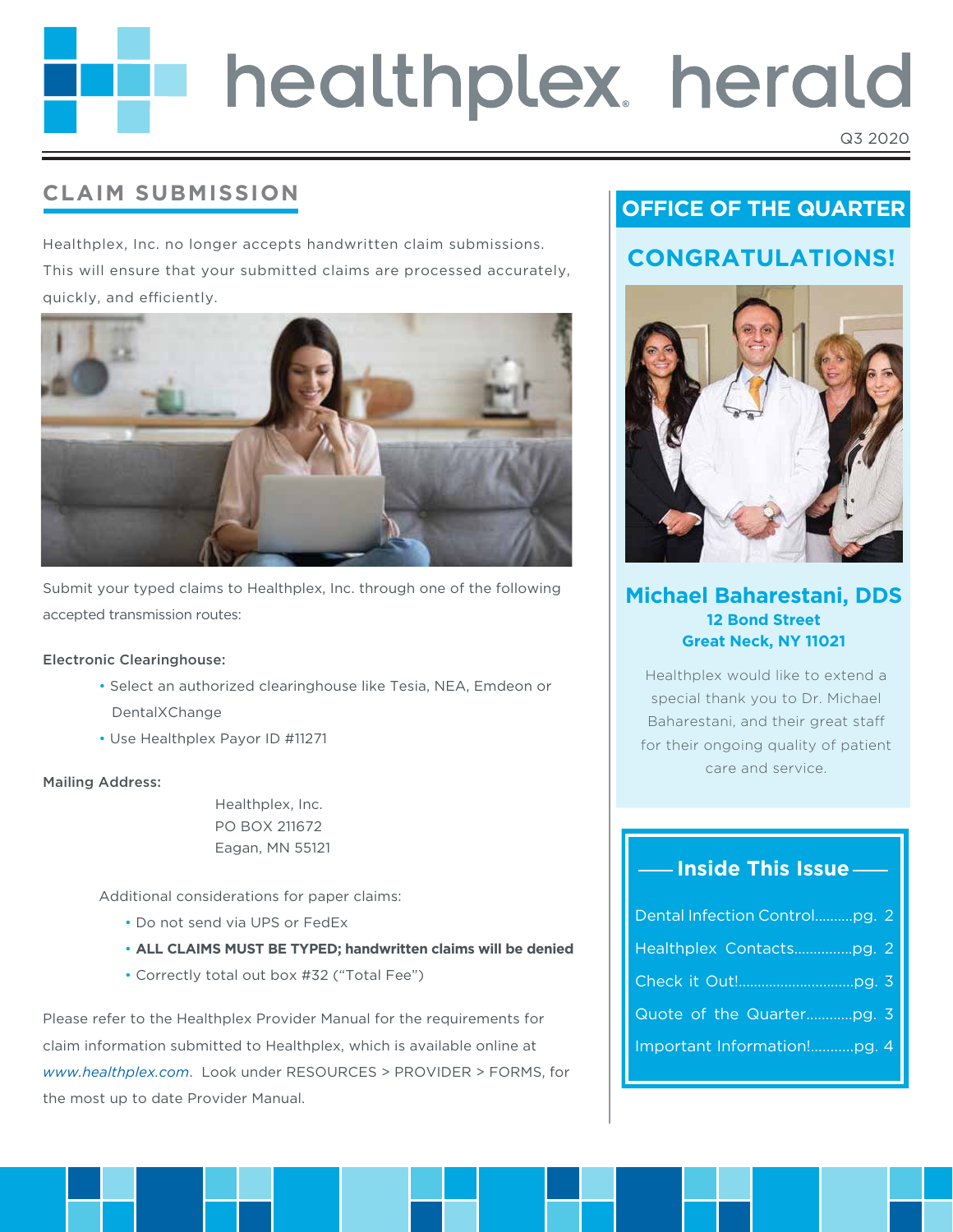# healthplex. herald

#### Q3 2020

# **CLAIM SUBMISSION**

Healthplex, Inc. no longer accepts handwritten claim submissions. This will ensure that your submitted claims are processed accurately, quickly, and efficiently.



Submit your typed claims to Healthplex, Inc. through one of the following accepted transmission routes:

#### Electronic Clearinghouse:

- Select an authorized clearinghouse like Tesia, NEA, Emdeon or DentalXChange
- Use Healthplex Payor ID #11271

#### Mailing Address:

 Healthplex, Inc. PO BOX 211672 Eagan, MN 55121

Additional considerations for paper claims:

- Do not send via UPS or FedEx
- **ALL CLAIMS MUST BE TYPED; handwritten claims will be denied**
- Correctly total out box #32 ("Total Fee")

Please refer to the Healthplex Provider Manual for the requirements for claim information submitted to Healthplex, which is available online at *www.healthplex.com*. Look under RESOURCES > PROVIDER > FORMS, for the most up to date Provider Manual.

# **OFFICE OF THE QUARTER**

## **CONGRATULATIONS!**



#### **Michael Baharestani, DDS 12 Bond Street Great Neck, NY 11021**

Healthplex would like to extend a special thank you to Dr. Michael Baharestani, and their great sta for their ongoing quality of patient care and service.

#### **Inside This Issue**

| Dental Infection Controlpg. 2 |  |
|-------------------------------|--|
| Healthplex Contactspg. 2      |  |
|                               |  |
|                               |  |
|                               |  |
|                               |  |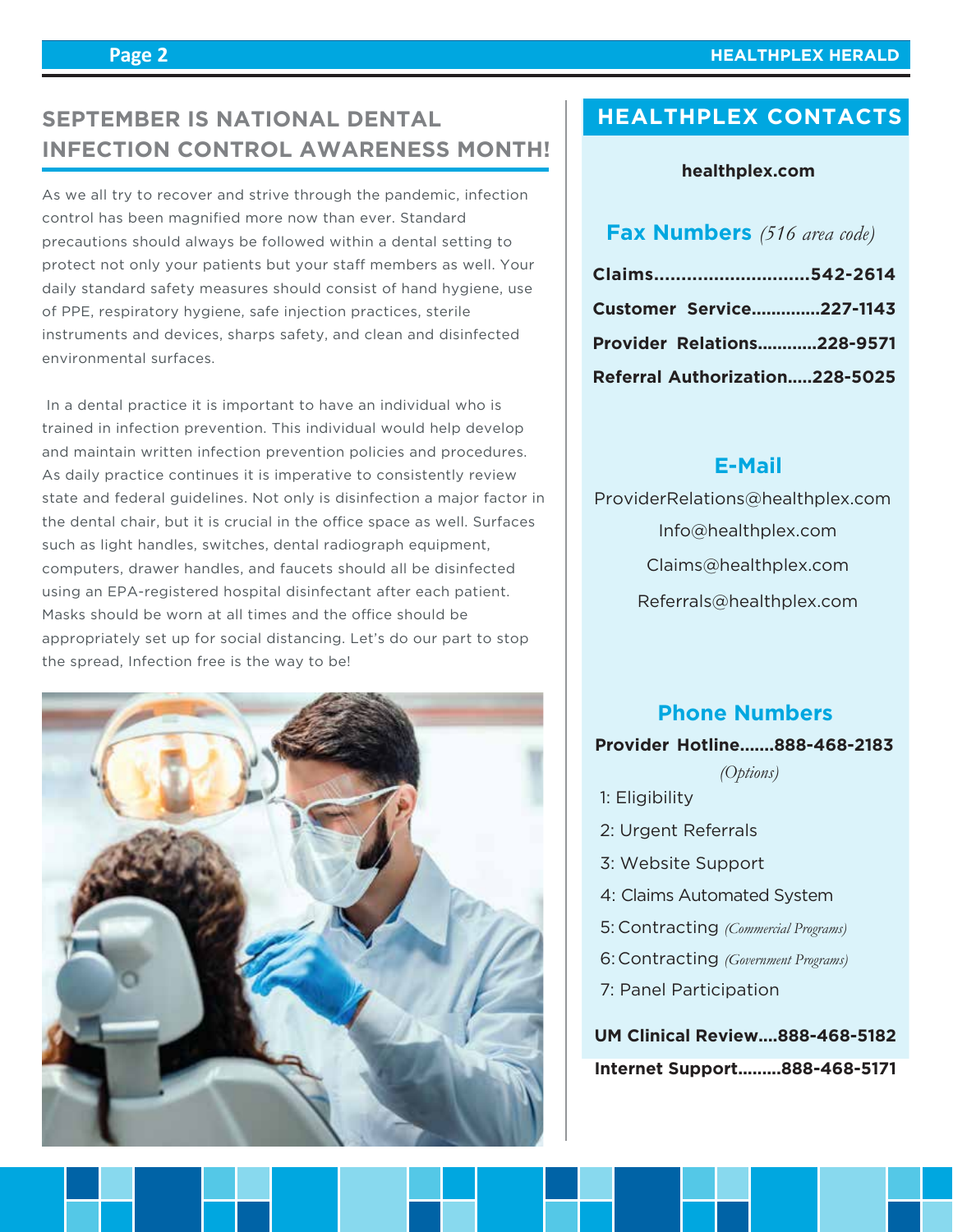#### **HEALTHPLEX HERALD**

# **SEPTEMBER IS NATIONAL DENTAL THEALTHPLEX CONTACTS INFECTION CONTROL AWARENESS MONTH!**

As we all try to recover and strive through the pandemic, infection control has been magnified more now than ever. Standard precautions should always be followed within a dental setting to protect not only your patients but your staff members as well. Your daily standard safety measures should consist of hand hygiene, use of PPE, respiratory hygiene, safe injection practices, sterile instruments and devices, sharps safety, and clean and disinfected environmental surfaces.

 In a dental practice it is important to have an individual who is trained in infection prevention. This individual would help develop and maintain written infection prevention policies and procedures. As daily practice continues it is imperative to consistently review state and federal guidelines. Not only is disinfection a major factor in the dental chair, but it is crucial in the office space as well. Surfaces such as light handles, switches, dental radiograph equipment, computers, drawer handles, and faucets should all be disinfected using an EPA-registered hospital disinfectant after each patient. Masks should be worn at all times and the office should be appropriately set up for social distancing. Let's do our part to stop the spread, Infection free is the way to be!



#### **healthplex.com**

#### **Fax Numbers** *(516 area code)*

| Claims542-2614                    |  |
|-----------------------------------|--|
| <b>Customer Service227-1143</b>   |  |
| <b>Provider Relations228-9571</b> |  |
| Referral Authorization228-5025    |  |

#### **E-Mail**

 Info@healthplex.com ProviderRelations@healthplex.com Claims@healthplex.com Referrals@healthplex.com

#### **Phone Numbers**

#### **Provider Hotline.......888-468-2183**

*(Options)*

- 1: Eligibility
- 2: Urgent Referrals
- 3: Website Support
- 4: Claims Automated System
- Contracting *(Commercial Programs)* 5:
- Contracting *(Government Programs)* 6:
- 7: Panel Participation

**UM Clinical Review....888-468-5182 Internet Support.........888-468-5171**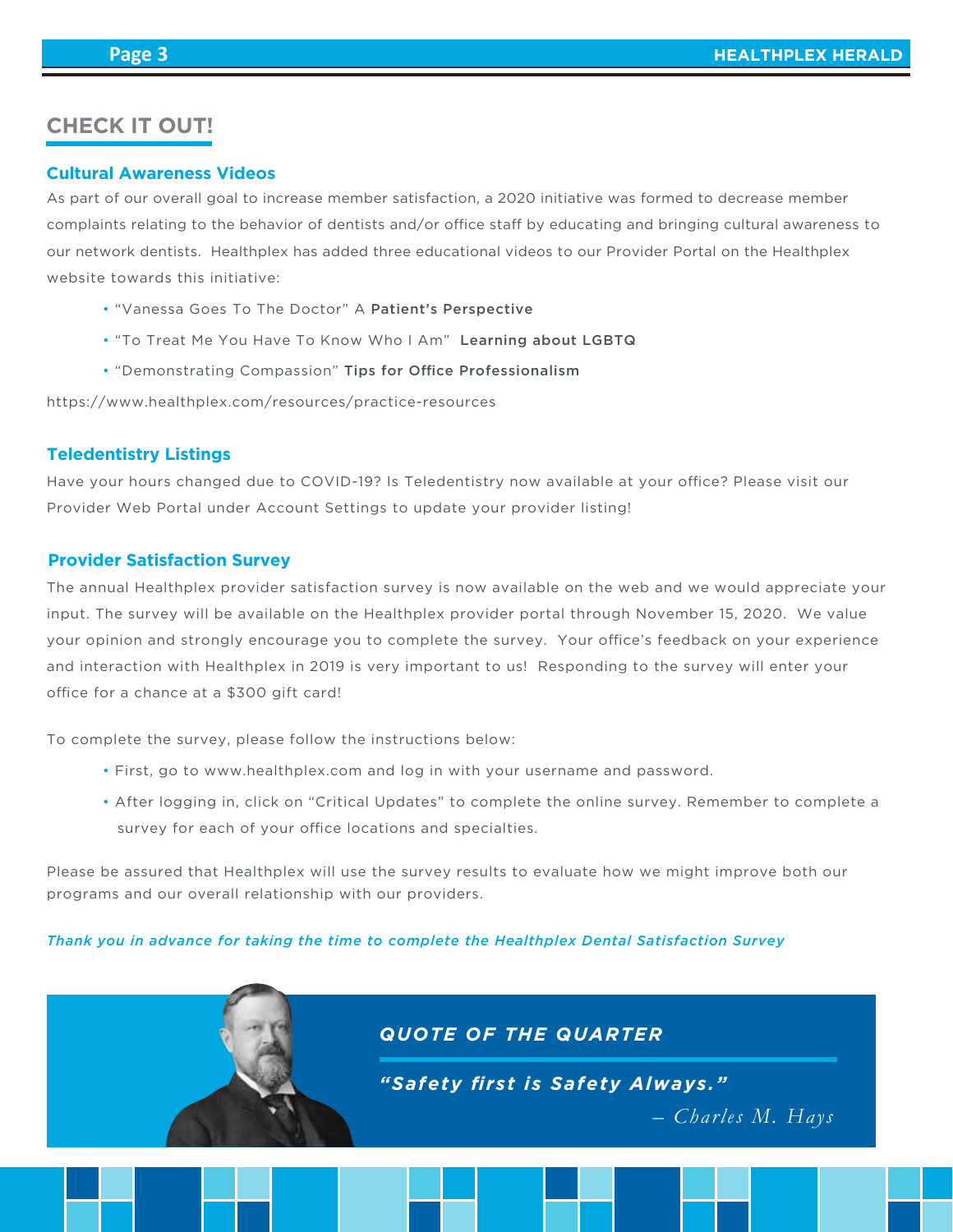#### **CHECK IT OUT!**

#### **Cultural Awareness Videos**

As part of our overall goal to increase member satisfaction, a 2020 initiative was formed to decrease member complaints relating to the behavior of dentists and/or office staff by educating and bringing cultural awareness to our network dentists. Healthplex has added three educational videos to our Provider Portal on the Healthplex website towards this initiative:

- "Vanessa Goes To The Doctor" A Patient's Perspective
- "To Treat Me You Have To Know Who I Am" Learning about LGBTQ
- "Demonstrating Compassion" Tips for Office Professionalism

https://www.healthplex.com/resources/practice-resources

#### **Teledentistry Listings**

Have your hours changed due to COVID-19? Is Teledentistry now available at your office? Please visit our Provider Web Portal under Account Settings to update your provider listing!

#### **Provider Satisfaction Survey**

The annual Healthplex provider satisfaction survey is now available on the web and we would appreciate your input. The survey will be available on the Healthplex provider portal through November 15, 2020. We value your opinion and strongly encourage you to complete the survey. Your office's feedback on your experience and interaction with Healthplex in 2019 is very important to us! Responding to the survey will enter your office for a chance at a \$300 gift card!

To complete the survey, please follow the instructions below:

- First, go to www.healthplex.com and log in with your username and password.
- After logging in, click on "Critical Updates" to complete the online survey. Remember to complete a survey for each of your office locations and specialties.

Please be assured that Healthplex will use the survey results to evaluate how we might improve both our programs and our overall relationship with our providers.

*Thank you in advance for taking the time to complete the Healthplex Dental Satisfaction Survey*